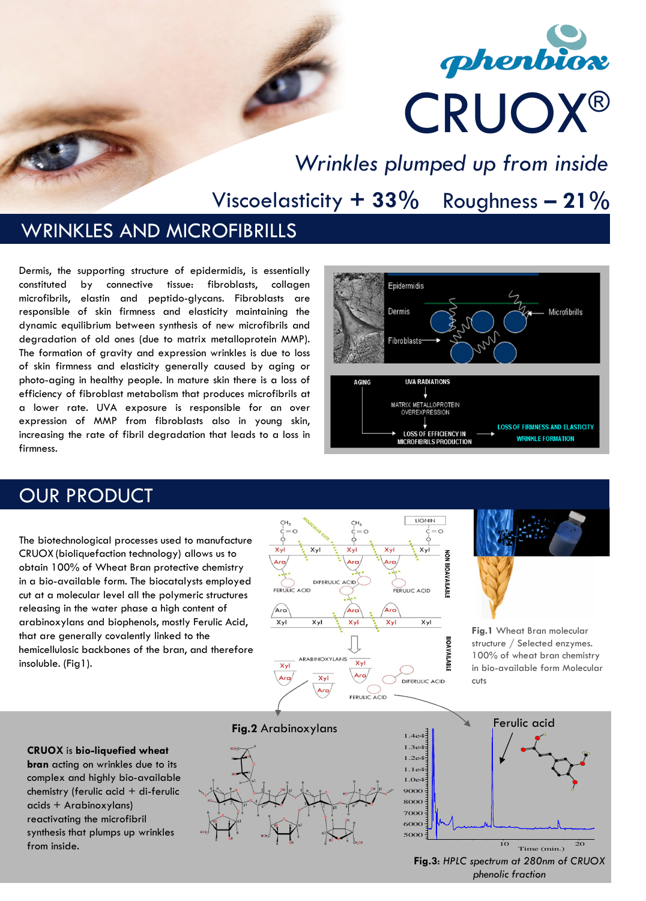# phenbiox CRUOX ®

Wrinkles plumped up from inside

Viscoelasticity +  $33\%$  Roughness -  $21\%$ 

#### WRINKLES AND MICROFIBRILLS

Dermis, the supporting structure of epidermidis, is essentially constituted by connective tissue: fibroblasts, collagen microfibrils, elastin and peptido-glycans. Fibroblasts are responsible of skin firmness and elasticity maintaining the dynamic equilibrium between synthesis of new microfibrils and degradation of old ones (due to matrix metalloprotein MMP). The formation of gravity and expression wrinkles is due to loss of skin firmness and elasticity generally caused by aging or photo-aging in healthy people. In mature skin there is a loss of efficiency of fibroblast metabolism that produces microfibrils at a lower rate. UVA exposure is responsible for an over expression of MMP from fibroblasts also in young skin, increasing the rate of fibril degradation that leads to a loss in firmness.



### OUR PRODUCT

The biotechnological processes used to manufacture CRUOX (bioliquefaction technology) allows us to obtain 100% of Wheat Bran protective chemistry in a bio-available form. The biocatalysts employed cut at a molecular level all the polymeric structures releasing in the water phase a high content of arabinoxylans and biophenols, mostly Ferulic Acid, that are generally covalently linked to the hemicellulosic backbones of the bran, and therefore insoluble. (Fig1).



Fig.1 Wheat Bran molecular structure / Selected enzymes. 100% of wheat bran chemistry in bio-available form Molecular cuts

CRUOX is bio-liquefied wheat bran acting on wrinkles due to its complex and highly bio-available chemistry (ferulic acid + di-ferulic acids + Arabinoxylans) reactivating the microfibril synthesis that plumps up wrinkles from inside.







Fig.3: HPLC spectrum at 280nm of CRUOX phenolic fraction